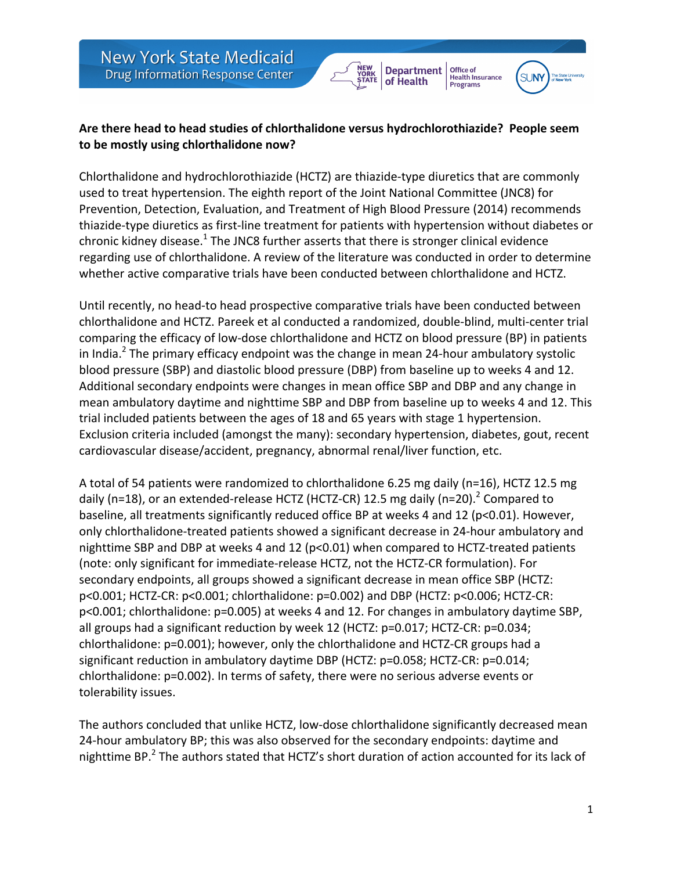## **Department** of Health

Office of

Health Insurance<br>Programs



## Are there head to head studies of chlorthalidone versus hydrochlorothiazide? People seem to be mostly using chlorthalidone now?

Chlorthalidone and hydrochlorothiazide (HCTZ) are thiazide-type diuretics that are commonly used to treat hypertension. The eighth report of the Joint National Committee (JNC8) for Prevention, Detection, Evaluation, and Treatment of High Blood Pressure (2014) recommends thiazide-type diuretics as first-line treatment for patients with hypertension without diabetes or chronic kidney disease.<sup>1</sup> The JNC8 further asserts that there is stronger clinical evidence regarding use of chlorthalidone. A review of the literature was conducted in order to determine whether active comparative trials have been conducted between chlorthalidone and HCTZ.

Until recently, no head-to head prospective comparative trials have been conducted between chlorthalidone and HCTZ. Pareek et al conducted a randomized, double-blind, multi-center trial comparing the efficacy of low-dose chlorthalidone and HCTZ on blood pressure (BP) in patients in India.<sup>2</sup> The primary efficacy endpoint was the change in mean 24-hour ambulatory systolic blood pressure (SBP) and diastolic blood pressure (DBP) from baseline up to weeks 4 and 12. Additional secondary endpoints were changes in mean office SBP and DBP and any change in mean ambulatory daytime and nighttime SBP and DBP from baseline up to weeks 4 and 12. This trial included patients between the ages of 18 and 65 years with stage 1 hypertension. Exclusion criteria included (amongst the many): secondary hypertension, diabetes, gout, recent cardiovascular disease/accident, pregnancy, abnormal renal/liver function, etc.

A total of 54 patients were randomized to chlorthalidone 6.25 mg daily (n=16), HCTZ 12.5 mg daily (n=18), or an extended-release HCTZ (HCTZ-CR) 12.5 mg daily (n=20).<sup>2</sup> Compared to baseline, all treatments significantly reduced office BP at weeks 4 and 12 (p<0.01). However, only chlorthalidone-treated patients showed a significant decrease in 24-hour ambulatory and nighttime SBP and DBP at weeks 4 and 12 ( $p<0.01$ ) when compared to HCTZ-treated patients (note: only significant for immediate-release HCTZ, not the HCTZ-CR formulation). For secondary endpoints, all groups showed a significant decrease in mean office SBP (HCTZ:  $p$ <0.001; HCTZ-CR:  $p$ <0.001; chlorthalidone:  $p$ =0.002) and DBP (HCTZ:  $p$ <0.006; HCTZ-CR:  $p$ <0.001; chlorthalidone:  $p$ =0.005) at weeks 4 and 12. For changes in ambulatory daytime SBP, all groups had a significant reduction by week 12 (HCTZ:  $p=0.017$ ; HCTZ-CR:  $p=0.034$ ; chlorthalidone: p=0.001); however, only the chlorthalidone and HCTZ-CR groups had a significant reduction in ambulatory daytime DBP (HCTZ: p=0.058; HCTZ-CR: p=0.014; chlorthalidone: p=0.002). In terms of safety, there were no serious adverse events or tolerability issues.

The authors concluded that unlike HCTZ, low-dose chlorthalidone significantly decreased mean 24-hour ambulatory BP; this was also observed for the secondary endpoints: daytime and nighttime BP.<sup>2</sup> The authors stated that HCTZ's short duration of action accounted for its lack of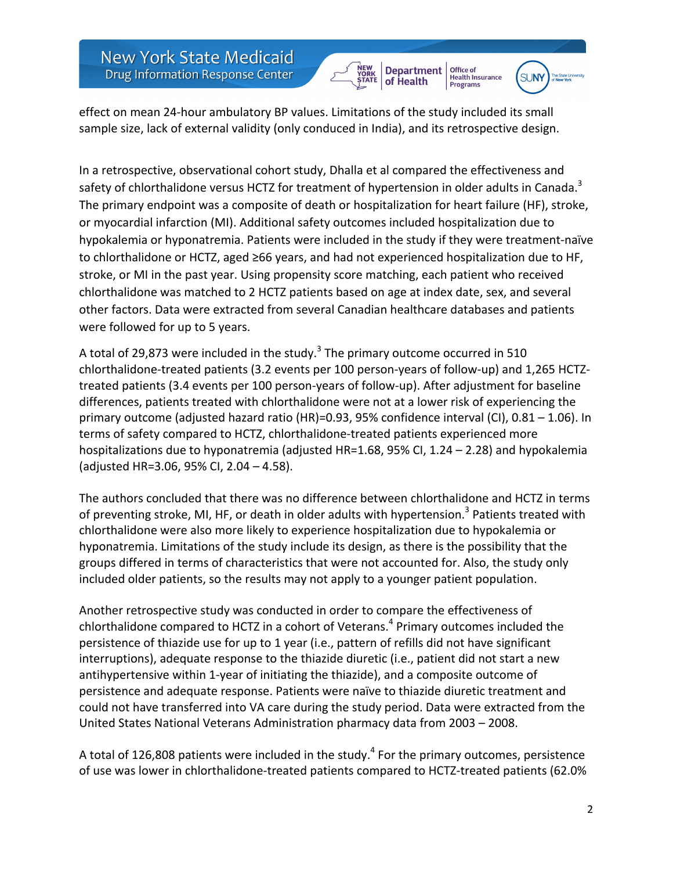

Office of



effect on mean 24-hour ambulatory BP values. Limitations of the study included its small sample size, lack of external validity (only conduced in India), and its retrospective design.

In a retrospective, observational cohort study, Dhalla et al compared the effectiveness and safety of chlorthalidone versus HCTZ for treatment of hypertension in older adults in Canada.<sup>3</sup> The primary endpoint was a composite of death or hospitalization for heart failure (HF), stroke, or myocardial infarction (MI). Additional safety outcomes included hospitalization due to hypokalemia or hyponatremia. Patients were included in the study if they were treatment-naïve to chlorthalidone or HCTZ, aged ≥66 years, and had not experienced hospitalization due to HF, stroke, or MI in the past year. Using propensity score matching, each patient who received chlorthalidone was matched to 2 HCTZ patients based on age at index date, sex, and several other factors. Data were extracted from several Canadian healthcare databases and patients were followed for up to 5 years.

A total of 29,873 were included in the study.<sup>3</sup> The primary outcome occurred in 510 chlorthalidone-treated patients (3.2 events per 100 person-years of follow-up) and 1,265 HCTZtreated patients (3.4 events per 100 person-years of follow-up). After adjustment for baseline differences, patients treated with chlorthalidone were not at a lower risk of experiencing the primary outcome (adjusted hazard ratio  $(HR)$ =0.93, 95% confidence interval  $(Cl)$ , 0.81 – 1.06). In terms of safety compared to HCTZ, chlorthalidone-treated patients experienced more hospitalizations due to hyponatremia (adjusted HR=1.68, 95% CI, 1.24 – 2.28) and hypokalemia (adjusted HR=3.06, 95% CI, 2.04 - 4.58).

The authors concluded that there was no difference between chlorthalidone and HCTZ in terms of preventing stroke, MI, HF, or death in older adults with hypertension.<sup>3</sup> Patients treated with chlorthalidone were also more likely to experience hospitalization due to hypokalemia or hyponatremia. Limitations of the study include its design, as there is the possibility that the groups differed in terms of characteristics that were not accounted for. Also, the study only included older patients, so the results may not apply to a younger patient population.

Another retrospective study was conducted in order to compare the effectiveness of chlorthalidone compared to HCTZ in a cohort of Veterans.<sup>4</sup> Primary outcomes included the persistence of thiazide use for up to 1 year (i.e., pattern of refills did not have significant interruptions), adequate response to the thiazide diuretic (i.e., patient did not start a new antihypertensive within 1-year of initiating the thiazide), and a composite outcome of persistence and adequate response. Patients were naïve to thiazide diuretic treatment and could not have transferred into VA care during the study period. Data were extracted from the United States National Veterans Administration pharmacy data from 2003 – 2008.

A total of 126,808 patients were included in the study.<sup>4</sup> For the primary outcomes, persistence of use was lower in chlorthalidone-treated patients compared to HCTZ-treated patients (62.0%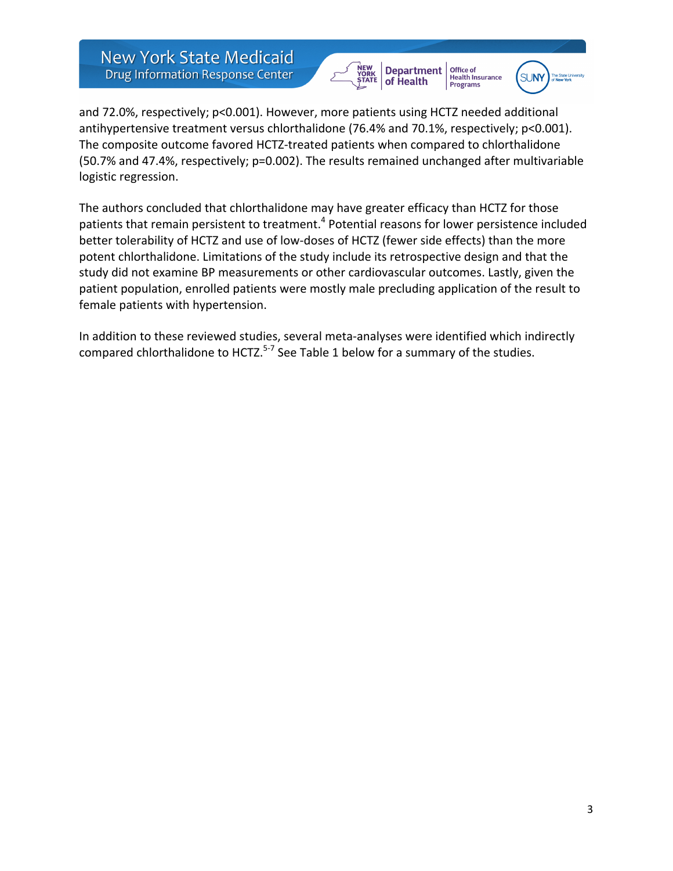



and 72.0%, respectively; p<0.001). However, more patients using HCTZ needed additional antihypertensive treatment versus chlorthalidone  $(76.4%$  and  $70.1%$ , respectively;  $p<0.001$ ). The composite outcome favored HCTZ-treated patients when compared to chlorthalidone (50.7% and 47.4%, respectively; p=0.002). The results remained unchanged after multivariable logistic regression.

The authors concluded that chlorthalidone may have greater efficacy than HCTZ for those patients that remain persistent to treatment.<sup>4</sup> Potential reasons for lower persistence included better tolerability of HCTZ and use of low-doses of HCTZ (fewer side effects) than the more potent chlorthalidone. Limitations of the study include its retrospective design and that the study did not examine BP measurements or other cardiovascular outcomes. Lastly, given the patient population, enrolled patients were mostly male precluding application of the result to female patients with hypertension.

In addition to these reviewed studies, several meta-analyses were identified which indirectly compared chlorthalidone to HCTZ. $5-7$  See Table 1 below for a summary of the studies.